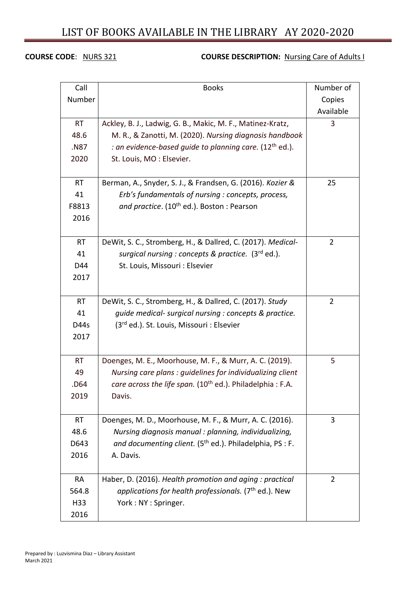# LIST OF BOOKS AVAILABLE IN THE LIBRARY AY 2020-2020

## **COURSE CODE:** NURS 321 **COURSE DESCRIPTION:** Nursing Care of Adults I

| Call      | <b>Books</b>                                                           | Number of      |
|-----------|------------------------------------------------------------------------|----------------|
| Number    |                                                                        | Copies         |
|           |                                                                        | Available      |
| <b>RT</b> | Ackley, B. J., Ladwig, G. B., Makic, M. F., Matinez-Kratz,             | 3              |
| 48.6      | M. R., & Zanotti, M. (2020). Nursing diagnosis handbook                |                |
| .N87      | : an evidence-based guide to planning care. (12 <sup>th</sup> ed.).    |                |
| 2020      | St. Louis, MO: Elsevier.                                               |                |
|           |                                                                        |                |
| <b>RT</b> | Berman, A., Snyder, S. J., & Frandsen, G. (2016). Kozier &             | 25             |
| 41        | Erb's fundamentals of nursing : concepts, process,                     |                |
| F8813     | and practice. (10 <sup>th</sup> ed.). Boston: Pearson                  |                |
| 2016      |                                                                        |                |
|           |                                                                        |                |
| <b>RT</b> | DeWit, S. C., Stromberg, H., & Dallred, C. (2017). Medical-            | $\overline{2}$ |
| 41        | surgical nursing : concepts & practice. (3rd ed.).                     |                |
| D44       | St. Louis, Missouri : Elsevier                                         |                |
| 2017      |                                                                        |                |
|           |                                                                        |                |
| <b>RT</b> | DeWit, S. C., Stromberg, H., & Dallred, C. (2017). Study               | $\overline{2}$ |
| 41        | guide medical- surgical nursing : concepts & practice.                 |                |
| D44s      | (3rd ed.). St. Louis, Missouri : Elsevier                              |                |
| 2017      |                                                                        |                |
|           |                                                                        |                |
| <b>RT</b> | Doenges, M. E., Moorhouse, M. F., & Murr, A. C. (2019).                | 5              |
| 49        | Nursing care plans : guidelines for individualizing client             |                |
| .D64      | care across the life span. (10 <sup>th</sup> ed.). Philadelphia : F.A. |                |
| 2019      | Davis.                                                                 |                |
|           |                                                                        |                |
| <b>RT</b> | Doenges, M. D., Moorhouse, M. F., & Murr, A. C. (2016).                | 3              |
| 48.6      | Nursing diagnosis manual : planning, individualizing,                  |                |
| D643      | and documenting client. (5 <sup>th</sup> ed.). Philadelphia, PS : F.   |                |
| 2016      | A. Davis.                                                              |                |
|           |                                                                        |                |
| <b>RA</b> | Haber, D. (2016). Health promotion and aging : practical               | $\overline{2}$ |
| 564.8     | applications for health professionals. ( $7th$ ed.). New               |                |
| H33       | York: NY: Springer.                                                    |                |
| 2016      |                                                                        |                |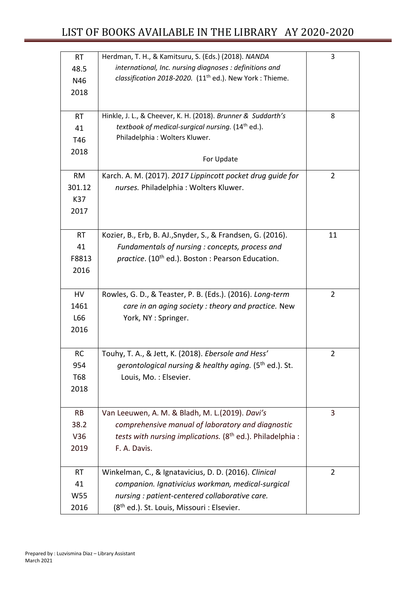| <b>RT</b> | Herdman, T. H., & Kamitsuru, S. (Eds.) (2018). NANDA                   | 3              |
|-----------|------------------------------------------------------------------------|----------------|
| 48.5      | international, Inc. nursing diagnoses : definitions and                |                |
| N46       | classification 2018-2020. (11 <sup>th</sup> ed.). New York : Thieme.   |                |
| 2018      |                                                                        |                |
|           |                                                                        |                |
| <b>RT</b> | Hinkle, J. L., & Cheever, K. H. (2018). Brunner & Suddarth's           | 8              |
| 41        | textbook of medical-surgical nursing. (14 <sup>th</sup> ed.).          |                |
| T46       | Philadelphia: Wolters Kluwer.                                          |                |
| 2018      |                                                                        |                |
|           | For Update                                                             |                |
| <b>RM</b> | Karch. A. M. (2017). 2017 Lippincott pocket drug guide for             | 2              |
| 301.12    | nurses. Philadelphia: Wolters Kluwer.                                  |                |
| K37       |                                                                        |                |
| 2017      |                                                                        |                |
|           |                                                                        |                |
| <b>RT</b> | Kozier, B., Erb, B. AJ., Snyder, S., & Frandsen, G. (2016).            | 11             |
| 41        | Fundamentals of nursing : concepts, process and                        |                |
| F8813     | practice. (10 <sup>th</sup> ed.). Boston : Pearson Education.          |                |
| 2016      |                                                                        |                |
|           |                                                                        |                |
| HV        | Rowles, G. D., & Teaster, P. B. (Eds.). (2016). Long-term              | $\overline{2}$ |
| 1461      | care in an aging society: theory and practice. New                     |                |
| L66       | York, NY: Springer.                                                    |                |
| 2016      |                                                                        |                |
|           |                                                                        |                |
| <b>RC</b> | Touhy, T. A., & Jett, K. (2018). Ebersole and Hess'                    | $\overline{2}$ |
| 954       | gerontological nursing & healthy aging. (5 <sup>th</sup> ed.). St.     |                |
| T68       | Louis, Mo.: Elsevier.                                                  |                |
| 2018      |                                                                        |                |
|           |                                                                        |                |
| RB        | Van Leeuwen, A. M. & Bladh, M. L.(2019). Davi's                        | 3              |
| 38.2      | comprehensive manual of laboratory and diagnostic                      |                |
| V36       | tests with nursing implications. (8 <sup>th</sup> ed.). Philadelphia : |                |
| 2019      | F. A. Davis.                                                           |                |
|           |                                                                        |                |
| <b>RT</b> | Winkelman, C., & Ignatavicius, D. D. (2016). Clinical                  | $\overline{2}$ |
| 41        | companion. Ignativicius workman, medical-surgical                      |                |
| W55       | nursing : patient-centered collaborative care.                         |                |
| 2016      | (8 <sup>th</sup> ed.). St. Louis, Missouri : Elsevier.                 |                |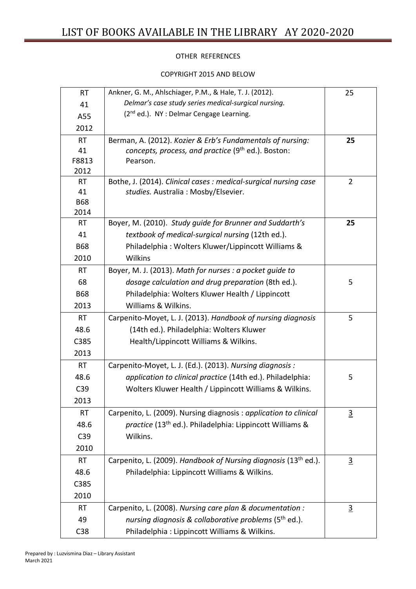## OTHER REFERENCES

#### COPYRIGHT 2015 AND BELOW

| <b>RT</b>  | Ankner, G. M., Ahlschiager, P.M., & Hale, T. J. (2012).                     | 25             |
|------------|-----------------------------------------------------------------------------|----------------|
| 41         | Delmar's case study series medical-surgical nursing.                        |                |
| A55        | (2 <sup>nd</sup> ed.). NY : Delmar Cengage Learning.                        |                |
| 2012       |                                                                             |                |
| <b>RT</b>  | Berman, A. (2012). Kozier & Erb's Fundamentals of nursing:                  | 25             |
| 41         | concepts, process, and practice (9 <sup>th</sup> ed.). Boston:              |                |
| F8813      | Pearson.                                                                    |                |
| 2012       |                                                                             |                |
| RT         | Bothe, J. (2014). Clinical cases : medical-surgical nursing case            | $\overline{2}$ |
| 41         | studies. Australia: Mosby/Elsevier.                                         |                |
| <b>B68</b> |                                                                             |                |
| 2014       |                                                                             |                |
| <b>RT</b>  | Boyer, M. (2010). Study quide for Brunner and Suddarth's                    | 25             |
| 41         | textbook of medical-surgical nursing (12th ed.).                            |                |
| <b>B68</b> | Philadelphia: Wolters Kluwer/Lippincott Williams &                          |                |
| 2010       | Wilkins                                                                     |                |
| <b>RT</b>  | Boyer, M. J. (2013). Math for nurses : a pocket guide to                    |                |
| 68         | dosage calculation and drug preparation (8th ed.).                          | 5              |
| <b>B68</b> | Philadelphia: Wolters Kluwer Health / Lippincott                            |                |
| 2013       | Williams & Wilkins.                                                         |                |
| <b>RT</b>  | Carpenito-Moyet, L. J. (2013). Handbook of nursing diagnosis                | 5              |
| 48.6       | (14th ed.). Philadelphia: Wolters Kluwer                                    |                |
| C385       | Health/Lippincott Williams & Wilkins.                                       |                |
| 2013       |                                                                             |                |
| <b>RT</b>  | Carpenito-Moyet, L. J. (Ed.). (2013). Nursing diagnosis :                   |                |
| 48.6       | application to clinical practice (14th ed.). Philadelphia:                  | 5              |
| C39        | Wolters Kluwer Health / Lippincott Williams & Wilkins.                      |                |
| 2013       |                                                                             |                |
| <b>RT</b>  | Carpenito, L. (2009). Nursing diagnosis: application to clinical            | $\overline{3}$ |
| 48.6       | practice (13 <sup>th</sup> ed.). Philadelphia: Lippincott Williams &        |                |
| C39        | Wilkins.                                                                    |                |
| 2010       |                                                                             |                |
| <b>RT</b>  | Carpenito, L. (2009). Handbook of Nursing diagnosis (13 <sup>th</sup> ed.). | $\overline{3}$ |
| 48.6       | Philadelphia: Lippincott Williams & Wilkins.                                |                |
| C385       |                                                                             |                |
| 2010       |                                                                             |                |
| RT         | Carpenito, L. (2008). Nursing care plan & documentation :                   | $\overline{3}$ |
| 49         | nursing diagnosis & collaborative problems (5 <sup>th</sup> ed.).           |                |
| C38        | Philadelphia: Lippincott Williams & Wilkins.                                |                |
|            |                                                                             |                |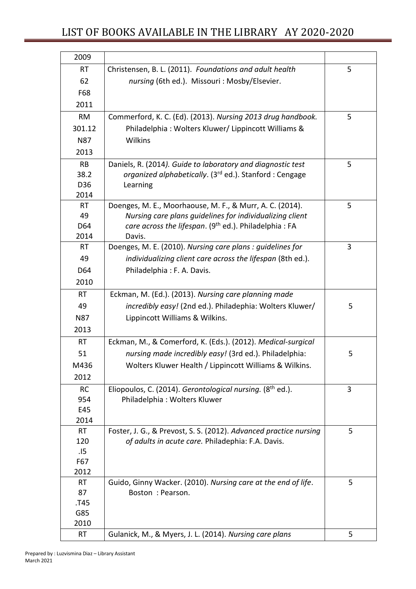| 2009            |                                                                                    |   |
|-----------------|------------------------------------------------------------------------------------|---|
| <b>RT</b>       | Christensen, B. L. (2011). Foundations and adult health                            | 5 |
| 62              | nursing (6th ed.). Missouri: Mosby/Elsevier.                                       |   |
| F68             |                                                                                    |   |
| 2011            |                                                                                    |   |
| <b>RM</b>       | Commerford, K. C. (Ed). (2013). Nursing 2013 drug handbook.                        | 5 |
| 301.12          | Philadelphia: Wolters Kluwer/ Lippincott Williams &                                |   |
| <b>N87</b>      | Wilkins                                                                            |   |
| 2013            |                                                                                    |   |
| <b>RB</b>       | Daniels, R. (2014). Guide to laboratory and diagnostic test                        | 5 |
| 38.2            | organized alphabetically. (3 <sup>rd</sup> ed.). Stanford: Cengage                 |   |
| D36             | Learning                                                                           |   |
| 2014            |                                                                                    |   |
| <b>RT</b>       | Doenges, M. E., Moorhaouse, M. F., & Murr, A. C. (2014).                           | 5 |
| 49              | Nursing care plans guidelines for individualizing client                           |   |
| D64             | care across the lifespan. (9 <sup>th</sup> ed.). Philadelphia: FA                  |   |
| 2014            | Davis.                                                                             |   |
| <b>RT</b>       | Doenges, M. E. (2010). Nursing care plans : quidelines for                         | 3 |
| 49              | individualizing client care across the lifespan (8th ed.).                         |   |
| D64             | Philadelphia: F. A. Davis.                                                         |   |
| 2010            |                                                                                    |   |
| <b>RT</b>       | Eckman, M. (Ed.). (2013). Nursing care planning made                               |   |
| 49              | incredibly easy! (2nd ed.). Philadephia: Wolters Kluwer/                           | 5 |
| N87             | Lippincott Williams & Wilkins.                                                     |   |
| 2013            |                                                                                    |   |
| <b>RT</b>       | Eckman, M., & Comerford, K. (Eds.). (2012). Medical-surgical                       |   |
| 51              | nursing made incredibly easy! (3rd ed.). Philadelphia:                             | 5 |
| M436            | Wolters Kluwer Health / Lippincott Williams & Wilkins.                             |   |
| 2012            |                                                                                    |   |
| <b>RC</b>       | Eliopoulos, C. (2014). Gerontological nursing. (8 <sup>th</sup> ed.).              | 3 |
| 954             | Philadelphia: Wolters Kluwer                                                       |   |
| E45             |                                                                                    |   |
| 2014            |                                                                                    |   |
| <b>RT</b>       | Foster, J. G., & Prevost, S. S. (2012). Advanced practice nursing                  | 5 |
| 120             | of adults in acute care. Philadephia: F.A. Davis.                                  |   |
| .15             |                                                                                    |   |
| F67             |                                                                                    |   |
| 2012            |                                                                                    | 5 |
| <b>RT</b><br>87 | Guido, Ginny Wacker. (2010). Nursing care at the end of life.<br>Boston : Pearson. |   |
| T45.            |                                                                                    |   |
| G85             |                                                                                    |   |
| 2010            |                                                                                    |   |
| RT              | Gulanick, M., & Myers, J. L. (2014). Nursing care plans                            | 5 |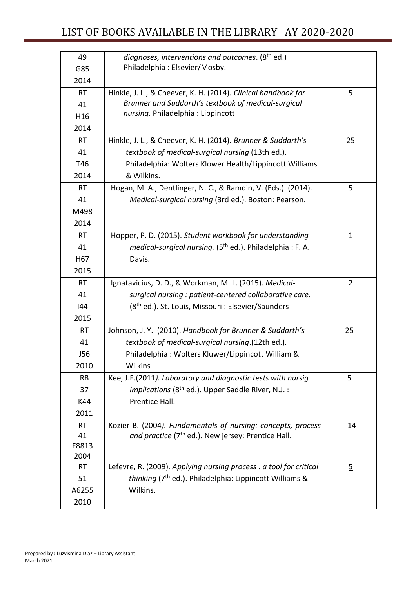| 49              | diagnoses, interventions and outcomes. (8 <sup>th</sup> ed.)          |                |
|-----------------|-----------------------------------------------------------------------|----------------|
| G85             | Philadelphia: Elsevier/Mosby.                                         |                |
| 2014            |                                                                       |                |
| <b>RT</b>       | Hinkle, J. L., & Cheever, K. H. (2014). Clinical handbook for         | 5              |
| 41              | Brunner and Suddarth's textbook of medical-surgical                   |                |
| H16             | nursing. Philadelphia: Lippincott                                     |                |
| 2014            |                                                                       |                |
| <b>RT</b>       | Hinkle, J. L., & Cheever, K. H. (2014). Brunner & Suddarth's          | 25             |
| 41              | textbook of medical-surgical nursing (13th ed.).                      |                |
| T46             | Philadelphia: Wolters Klower Health/Lippincott Williams               |                |
| 2014            | & Wilkins.                                                            |                |
| <b>RT</b>       | Hogan, M. A., Dentlinger, N. C., & Ramdin, V. (Eds.). (2014).         | 5              |
| 41              | Medical-surgical nursing (3rd ed.). Boston: Pearson.                  |                |
| M498            |                                                                       |                |
| 2014            |                                                                       |                |
| <b>RT</b>       | Hopper, P. D. (2015). Student workbook for understanding              | $\mathbf{1}$   |
| 41              | medical-surgical nursing. (5 <sup>th</sup> ed.). Philadelphia: F. A.  |                |
| H <sub>67</sub> | Davis.                                                                |                |
| 2015            |                                                                       |                |
| <b>RT</b>       | Ignatavicius, D. D., & Workman, M. L. (2015). Medical-                | $\overline{2}$ |
| 41              | surgical nursing : patient-centered collaborative care.               |                |
| 144             | (8 <sup>th</sup> ed.). St. Louis, Missouri : Elsevier/Saunders        |                |
| 2015            |                                                                       |                |
| <b>RT</b>       | Johnson, J. Y. (2010). Handbook for Brunner & Suddarth's              | 25             |
| 41              | textbook of medical-surgical nursing.(12th ed.).                      |                |
| J56             | Philadelphia: Wolters Kluwer/Lippincott William &                     |                |
| 2010            | <b>Wilkins</b>                                                        |                |
| <b>RB</b>       | Kee, J.F.(2011). Laboratory and diagnostic tests with nursig          | 5              |
| 37              | <i>implications</i> (8 <sup>th</sup> ed.). Upper Saddle River, N.J. : |                |
| K44             | Prentice Hall.                                                        |                |
| 2011            |                                                                       |                |
| <b>RT</b>       | Kozier B. (2004). Fundamentals of nursing: concepts, process          | 14             |
| 41              | and practice (7 <sup>th</sup> ed.). New jersey: Prentice Hall.        |                |
| F8813           |                                                                       |                |
| 2004            |                                                                       |                |
| RT              | Lefevre, R. (2009). Applying nursing process : a tool for critical    | $\overline{2}$ |
| 51              | thinking (7 <sup>th</sup> ed.). Philadelphia: Lippincott Williams &   |                |
| A6255           | Wilkins.                                                              |                |
| 2010            |                                                                       |                |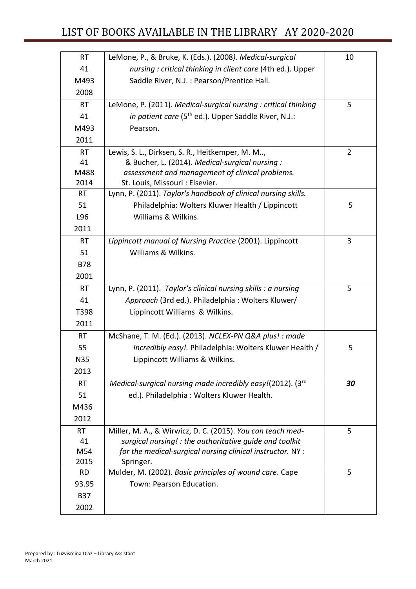| <b>RT</b>  | LeMone, P., & Bruke, K. (Eds.). (2008). Medical-surgical         | 10             |
|------------|------------------------------------------------------------------|----------------|
| 41         | nursing: critical thinking in client care (4th ed.). Upper       |                |
| M493       | Saddle River, N.J. : Pearson/Prentice Hall.                      |                |
| 2008       |                                                                  |                |
| <b>RT</b>  | LeMone, P. (2011). Medical-surgical nursing : critical thinking  | 5              |
| 41         | in patient care (5 <sup>th</sup> ed.). Upper Saddle River, N.J.: |                |
| M493       | Pearson.                                                         |                |
| 2011       |                                                                  |                |
| <b>RT</b>  | Lewis, S. L., Dirksen, S. R., Heitkemper, M. M,                  | $\overline{2}$ |
| 41         | & Bucher, L. (2014). Medical-surgical nursing :                  |                |
| M488       | assessment and management of clinical problems.                  |                |
| 2014       | St. Louis, Missouri : Elsevier.                                  |                |
| <b>RT</b>  | Lynn, P. (2011). Taylor's handbook of clinical nursing skills.   |                |
| 51         | Philadelphia: Wolters Kluwer Health / Lippincott                 | 5              |
| L96        | Williams & Wilkins.                                              |                |
| 2011       |                                                                  |                |
| <b>RT</b>  | Lippincott manual of Nursing Practice (2001). Lippincott         | 3              |
| 51         | Williams & Wilkins.                                              |                |
| <b>B78</b> |                                                                  |                |
| 2001       |                                                                  |                |
| <b>RT</b>  | Lynn, P. (2011). Taylor's clinical nursing skills : a nursing    | 5              |
| 41         | Approach (3rd ed.). Philadelphia: Wolters Kluwer/                |                |
| T398       | Lippincott Williams & Wilkins.                                   |                |
| 2011       |                                                                  |                |
| <b>RT</b>  | McShane, T. M. (Ed.). (2013). NCLEX-PN Q&A plus! : made          |                |
| 55         | incredibly easy!. Philadelphia: Wolters Kluwer Health /          | 5              |
| <b>N35</b> | Lippincott Williams & Wilkins.                                   |                |
| 2013       |                                                                  |                |
| <b>RT</b>  | Medical-surgical nursing made incredibly easy!(2012). $3^{rd}$   | 30             |
| 51         | ed.). Philadelphia: Wolters Kluwer Health.                       |                |
| M436       |                                                                  |                |
| 2012       |                                                                  |                |
| <b>RT</b>  | Miller, M. A., & Wirwicz, D. C. (2015). You can teach med-       | 5              |
| 41         | surgical nursing! : the authoritative guide and toolkit          |                |
| M54        | for the medical-surgical nursing clinical instructor. NY :       |                |
| 2015       | Springer.                                                        |                |
| <b>RD</b>  | Mulder, M. (2002). Basic principles of wound care. Cape          | 5              |
| 93.95      | Town: Pearson Education.                                         |                |
| <b>B37</b> |                                                                  |                |
| 2002       |                                                                  |                |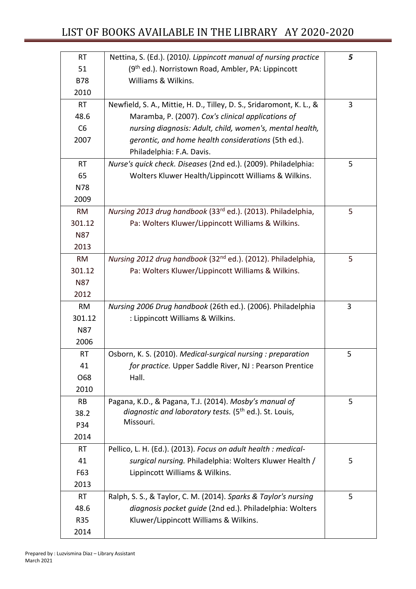| <b>RT</b>  | Nettina, S. (Ed.). (2010). Lippincott manual of nursing practice         | 5 |
|------------|--------------------------------------------------------------------------|---|
| 51         | (9 <sup>th</sup> ed.). Norristown Road, Ambler, PA: Lippincott           |   |
| <b>B78</b> | Williams & Wilkins.                                                      |   |
| 2010       |                                                                          |   |
| <b>RT</b>  | Newfield, S. A., Mittie, H. D., Tilley, D. S., Sridaromont, K. L., &     | 3 |
| 48.6       | Maramba, P. (2007). Cox's clinical applications of                       |   |
| C6         | nursing diagnosis: Adult, child, women's, mental health,                 |   |
| 2007       | gerontic, and home health considerations (5th ed.).                      |   |
|            | Philadelphia: F.A. Davis.                                                |   |
| <b>RT</b>  | Nurse's quick check. Diseases (2nd ed.). (2009). Philadelphia:           | 5 |
| 65         | Wolters Kluwer Health/Lippincott Williams & Wilkins.                     |   |
| N78        |                                                                          |   |
| 2009       |                                                                          |   |
| <b>RM</b>  | Nursing 2013 drug handbook (33rd ed.). (2013). Philadelphia,             | 5 |
| 301.12     | Pa: Wolters Kluwer/Lippincott Williams & Wilkins.                        |   |
| <b>N87</b> |                                                                          |   |
| 2013       |                                                                          |   |
| <b>RM</b>  | Nursing 2012 drug handbook (32 <sup>nd</sup> ed.). (2012). Philadelphia, | 5 |
| 301.12     | Pa: Wolters Kluwer/Lippincott Williams & Wilkins.                        |   |
| <b>N87</b> |                                                                          |   |
| 2012       |                                                                          |   |
| <b>RM</b>  | Nursing 2006 Drug handbook (26th ed.). (2006). Philadelphia              | 3 |
| 301.12     | : Lippincott Williams & Wilkins.                                         |   |
| <b>N87</b> |                                                                          |   |
| 2006       |                                                                          |   |
| RT         | Osborn, K. S. (2010). Medical-surgical nursing : preparation             | 5 |
| 41         | for practice. Upper Saddle River, NJ : Pearson Prentice                  |   |
| O68        | Hall.                                                                    |   |
| 2010       |                                                                          |   |
| <b>RB</b>  | Pagana, K.D., & Pagana, T.J. (2014). Mosby's manual of                   | 5 |
| 38.2       | diagnostic and laboratory tests. (5 <sup>th</sup> ed.). St. Louis,       |   |
| P34        | Missouri.                                                                |   |
| 2014       |                                                                          |   |
| <b>RT</b>  | Pellico, L. H. (Ed.). (2013). Focus on adult health : medical-           |   |
| 41         | surgical nursing. Philadelphia: Wolters Kluwer Health /                  | 5 |
| F63        | Lippincott Williams & Wilkins.                                           |   |
| 2013       |                                                                          |   |
| RT         | Ralph, S. S., & Taylor, C. M. (2014). Sparks & Taylor's nursing          | 5 |
| 48.6       | diagnosis pocket guide (2nd ed.). Philadelphia: Wolters                  |   |
| <b>R35</b> | Kluwer/Lippincott Williams & Wilkins.                                    |   |
| 2014       |                                                                          |   |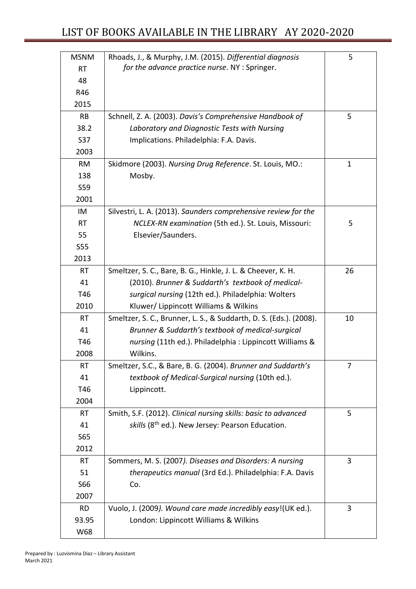| <b>MSNM</b> | Rhoads, J., & Murphy, J.M. (2015). Differential diagnosis          | 5  |
|-------------|--------------------------------------------------------------------|----|
| <b>RT</b>   | for the advance practice nurse. NY : Springer.                     |    |
| 48          |                                                                    |    |
| R46         |                                                                    |    |
| 2015        |                                                                    |    |
| <b>RB</b>   | Schnell, Z. A. (2003). Davis's Comprehensive Handbook of           | 5  |
| 38.2        | Laboratory and Diagnostic Tests with Nursing                       |    |
| S37         | Implications. Philadelphia: F.A. Davis.                            |    |
| 2003        |                                                                    |    |
| <b>RM</b>   | Skidmore (2003). Nursing Drug Reference. St. Louis, MO.:           | 1  |
| 138         | Mosby.                                                             |    |
| S59         |                                                                    |    |
| 2001        |                                                                    |    |
| IM          | Silvestri, L. A. (2013). Saunders comprehensive review for the     |    |
| <b>RT</b>   | NCLEX-RN examination (5th ed.). St. Louis, Missouri:               | 5  |
| 55          | Elsevier/Saunders.                                                 |    |
| <b>S55</b>  |                                                                    |    |
| 2013        |                                                                    |    |
| <b>RT</b>   | Smeltzer, S. C., Bare, B. G., Hinkle, J. L. & Cheever, K. H.       | 26 |
| 41          | (2010). Brunner & Suddarth's textbook of medical-                  |    |
| T46         | surgical nursing (12th ed.). Philadelphia: Wolters                 |    |
| 2010        | Kluwer/ Lippincott Williams & Wilkins                              |    |
| <b>RT</b>   | Smeltzer, S. C., Brunner, L. S., & Suddarth, D. S. (Eds.). (2008). | 10 |
| 41          | Brunner & Suddarth's textbook of medical-surgical                  |    |
| T46         | nursing (11th ed.). Philadelphia: Lippincott Williams &            |    |
| 2008        | Wilkins.                                                           |    |
| RT          | Smeltzer, S.C., & Bare, B. G. (2004). Brunner and Suddarth's       | 7  |
| 41          | textbook of Medical-Surgical nursing (10th ed.).                   |    |
| T46         | Lippincott.                                                        |    |
| 2004        |                                                                    |    |
| <b>RT</b>   | Smith, S.F. (2012). Clinical nursing skills: basic to advanced     | 5  |
| 41          | skills (8 <sup>th</sup> ed.). New Jersey: Pearson Education.       |    |
| S65         |                                                                    |    |
| 2012        |                                                                    |    |
| <b>RT</b>   | Sommers, M. S. (2007). Diseases and Disorders: A nursing           | 3  |
| 51          | therapeutics manual (3rd Ed.). Philadelphia: F.A. Davis            |    |
| S66         | Co.                                                                |    |
| 2007        |                                                                    |    |
| <b>RD</b>   | Vuolo, J. (2009). Wound care made incredibly easy!(UK ed.).        | 3  |
| 93.95       | London: Lippincott Williams & Wilkins                              |    |
| W68         |                                                                    |    |